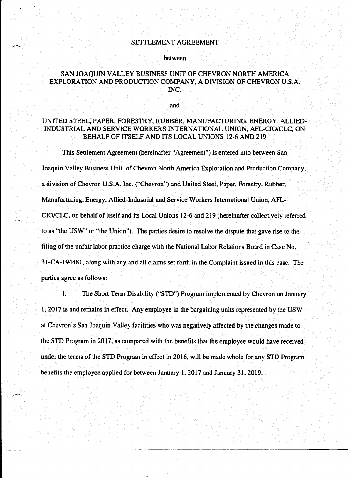#### SETTLEMENT AGREEMENT

#### between

### SAN JOAQUIN VALLEY BUSINESS UNIT OF CHEVRON NORTH AMERICA EXPLORATION AND PRODUCTION COMPANY, A DIVISION OF CHEVRON U.S.A. INC.

and

## UNITED STEEL, PAPER, FORESTRY, RUBBER, MANUFACTURING, ENERGY, ALLIED-INDUSTRIAL AND SERVICE WORKERS INTERNATIONAL UNION, AFL-CIO/CLC, ON BEHALF OF ITSELF AND ITS LOCAL UNIONS 12-6 AND 219

This Settlement Agreement (hereinafter "Agreement") is entered into between San Joaquin Valley Business Unit of Chevron North America Exploration and Production Company, a division of Chevron U.S.A. Inc. ("Chevron") and United Steel, Paper, Forestry, Rubber, Manufacturing, Energy, Allied-Industrial and Service Workers International Union, AFL-CIO/CLC, on behalf of itself and its Local Unions 12-6 and 219 (hereinafter collectively referred to as "the USW" or "the Union"). The parties desire to resolve the dispute that gave rise to the filing of the unfair labor practice charge with the National Labor Relations Board in Case No. 31-CA-194481, along with any and all claims set forth in the Complaint issued in this case. The parties agree as follows:

l. The Short Term Disability ("STD") Program implemented by Chevron on January 1, 2017 is and remains in effect. Any employee in the bargaining units represented by the USW at Chevron's San Joaquin Valley facilities who was negatively affected by the changes made to the STD Program in 2017, as compared with the benefits that the employee would have received under the terms of the STD Program in effect in 2016, will be made whole for any STD Program benefits the employee applied for between January 1, 2017 and January 31, 2019.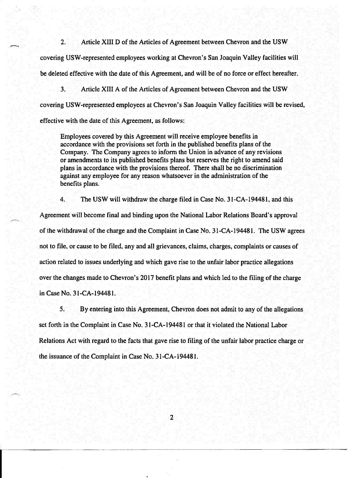2. Article XIII D of the Articles of Agreement between Chevron and the USW covering USW-represented employees working at Chevron's San Joaquin Valley facilities will be deleted effective with the date of this Agreement, and will be of no force or effect hereafter.

3. Article XIII A of the Articles of Agreement between Chevron and the USW covering USW-represented employees at Chevron's San Joaquin Valley facilities will be revised, effective with the date of this Agreement, as follows:

Employees covered by this Agreement will receive employee benefits in accordance with the provisions set forth in the published benefits plans of the Company. The Company agrees to inform the Union in advance of any revisions or amendments to its published benefits plans but reserves the right to amend said plans in accordance with the provisions thereof. There shall be no discrimination against any employee for any reason whatsoever in the administration of the benefits plans.

4. The USW will withdraw the charge filed in Case No. 31-CA-194481, and this

Agreement will become final and binding upon the National Labor Relations Board's approval of the withdrawal of the charge and the Complaint in Case No. 31-CA-194481. The USW agrees not to file, or cause to be filed, any and all grievances, claims, charges, complaints or causes of action related to issues underlying and which gave rise to the unfair labor practice allegations over the changes made to Chevron's 2017 benefit plans and which led to the filing of the charge in Case No. 31-CA-194481.

5. By entering into this Agreement, Chevron does not admit to any of the allegations set forth in the Complaint in Case No. 31-CA -194481 or that it violated the National Labor Relations Act with regard to the facts that gave rise to filing of the unfair labor practice charge or the issuance of the Complaint in Case No. 31-CA-194481.

2

-----~~---------~----- --------------